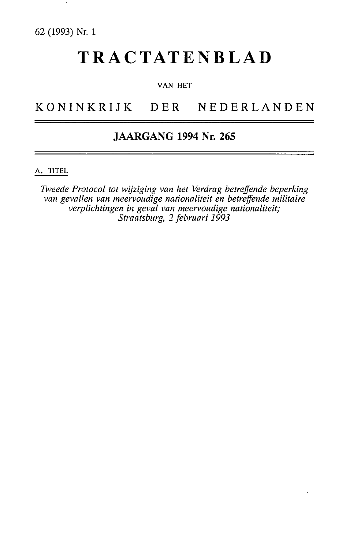# TRACTATENBLAD

#### VAN HET

# KONINKRIJK DER NEDERLANDEN

# JAARGANG 1994 Nr. 265

A. TITEL

*Tweede Protocol tot wijziging van het Verdrag betreffende beperking van gevallen van meervoudige nationaliteit en betreffende militaire verplichtingen in geval van meervoudige nationaliteit; Straatsburg, 2 februari 1993*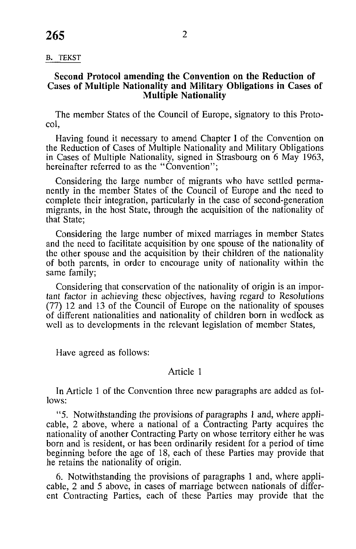#### B. TEKST

#### **Second Protocol amending the Convention on the Reduction of Cases of Multiple Nationality and Military Obligations in Cases of Multiple Nationality**

The member States of the Council of Europe, signatory to this Protocol,

Having found it necessary to amend Chapter I of the Convention on the Reduction of Cases of Multiple Nationality and Military Obligations in Cases of Multiple Nationality, signed in Strasbourg on 6 May 1963, hereinafter referred to as the "Convention";

Considering the large number of migrants who have settled permanently in the member States of the Council of Europe and the need to complete their integration, particularly in the case of second-generation migrants, in the host State, through the acquisition of the nationality of that State;

Considering the large number of mixed marriages in member States and the need to facilitate acquisition by one spouse of the nationality of the other spouse and the acquisition by their children of the nationality of both parents, in order to encourage unity of nationality within the same family;

Considering that conservation of the nationality of origin is an important factor in achieving these objectives, having regard to Resolutions (77) 12 and 13 of the Council of Europe on the nationality of spouses of different nationalities and nationality of children born in wedlock as well as to developments in the relevant legislation of member States,

Have agreed as follows:

# Article 1

In Article 1 of the Convention three new paragraphs are added as follows:

"5. Notwithstanding the provisions of paragraphs 1 and, where applicable, 2 above, where a national of a Contracting Party acquires the nationality of another Contracting Party on whose territory either he was born and is resident, or has been ordinarily resident for a period of time beginning before the age of 18, each of these Parties may provide that he retains the nationality of origin.

6. Notwithstanding the provisions of paragraphs 1 and, where applicable, 2 and 5 above, in cases of marriage between nationals of different Contracting Parties, each of these Parties may provide that the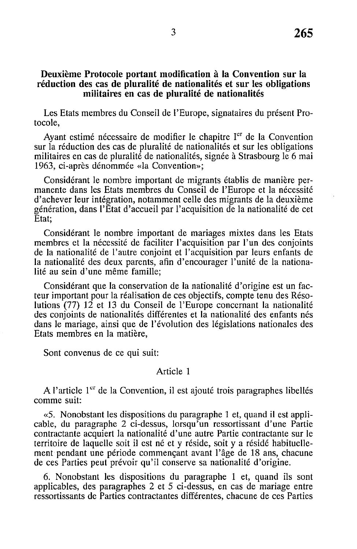# **Deuxième Protocole portant modification à la Convention sur la réduction des cas de pluralité de nationalités et sur les obligations militaires en cas de pluralité de nationalités**

Les Etats membres du Conseil de l'Europe, signataires du présent Protocole,

Ayant estimé nécessaire de modifier le chapitre Ier de la Convention sur la réduction des cas de pluralité de nationalités et sur les obligations militaires en cas de pluralité de nationalités, signée à Strasbourg le 6 mai 1963, ci-après dénommée «la Convention»;

Considérant le nombre important de migrants établis de manière permanente dans les Etats membres du Conseil de l'Europe et la nécessité d'achever leur intégration, notamment celle des migrants de la deuxième génération, dans l'Etat d'accueil par l'acquisition de la nationalité de cet Etat;

Considérant le nombre important de mariages mixtes dans les Etats membres et la nécessité de faciliter l'acquisition par l'un des conjoints de la nationalité de l'autre conjoint et l'acquisition par leurs enfants de la nationalité des deux parents, afin d'encourager l'unité de la nationalité au sein d'une même famille;

Considérant que la conservation de la nationalité d'origine est un facteur important pour la réalisation de ces objectifs, compte tenu des Résolutions (77) 12 et 13 du Conseil de l'Europe concernant la nationalité des conjoints de nationalités différentes et la nationalité des enfants nés dans le mariage, ainsi que de l'évolution des législations nationales des Etats membres en la matière,

Sont convenus de ce qui suit:

# Article 1

A l'article 1<sup>er</sup> de la Convention, il est ajouté trois paragraphes libellés comme suit:

«5. Nonobstant les dispositions du paragraphe 1 et, quand il est applicable, du paragraphe 2 ci-dessus, lorsqu'un ressortissant d'une Partie contractante acquiert la nationalité d'une autre Partie contractante sur le territoire de laquelle soit il est né et y réside, soit y a résidé habituellement pendant une période commençant avant l'âge de 18 ans, chacune de ces Parties peut prévoir qu'il conserve sa nationalité d'origine.

6. Nonobstant les dispositions du paragraphe 1 et, quand ils sont applicables, des paragraphes 2 et 5 ci-dessus, en cas de mariage entre ressortissants de Parties contractantes différentes, chacune de ces Parties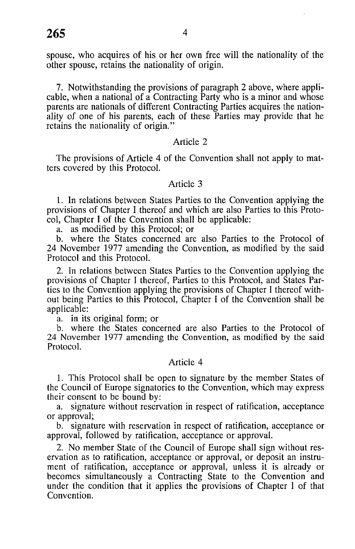spouse, who acquires of his or her own free will the nationality of the other spouse, retains the nationality of origin.

7. Notwithstanding the provisions of paragraph 2 above, where applicable, when a national of a Contracting Party who is a minor and whose parents are nationals of different Contracting Parties acquires the nationality of one of his parents, each of these Parties may provide that he retains the nationality of origin."

#### Article 2

The provisions of Article 4 of the Convention shall not apply to matters covered by this Protocol.

# Article 3

1. In relations between States Parties to the Convention applying the provisions of Chapter I thereof and which are also Parties to this Protocol, Chapter I of the Convention shall be applicable:

a. as modified by this Protocol; or

b. where the States concerned are also Parties to the Protocol of 24 November 1977 amending the Convention, as modified by the said Protocol and this Protocol.

2. In relations between States Parties to the Convention applying the provisions of Chapter I thereof, Parties to this Protocol, and States Parties to the Convention applying the provisions of Chapter I thereof without being Parties to this Protocol, Chapter I of the Convention shall be applicable:

a. in its original form; or

b. where the States concerned are also Parties to the Protocol of 24 November 1977 amending the Convention, as modified by the said Protocol.

## Article 4

1. This Protocol shall be open to signature by the member States of the Council of Europe signatories to the Convention, which may express their consent to be bound by:

a. signature without reservation in respect of ratification, acceptance or approval;

b. signature with reservation in respect of ratification, acceptance or approval, followed by ratification, acceptance or approval.

2. No member State of the Council of Europe shall sign without reservation as to ratification, acceptance or approval, or deposit an instrument of ratification, acceptance or approval, unless it is already or becomes simultaneously a Contracting State to the Convention and under the condition that it applies the provisions of Chapter 1 of that Convention.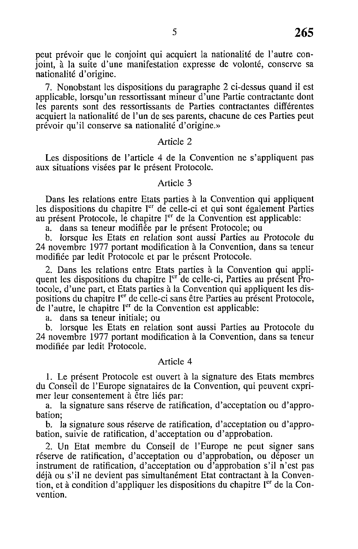peut prévoir que le conjoint qui acquiert la nationalité de l'autre conjoint, à la suite d'une manifestation expresse de volonté, conserve sa nationalité d'origine.

7. Nonobstant les dispositions du paragraphe 2 ci-dessus quand il est applicable, lorsqu'un ressortissant mineur d'une Partie contractante dont les parents sont des ressortissants de Parties contractantes différentes acquiert la nationalité de l'un de ses parents, chacune de ces Parties peut prévoir qu'il conserve sa nationalité d'origine.»

# Article 2

Les dispositions de l'article 4 de la Convention ne s'appliquent pas aux situations visées par le présent Protocole.

#### Article 3

Dans les relations entre Etats parties à la Convention qui appliquent les dispositions du chapitre I<sup>er</sup> de celle-ci et qui sont également Parties au présent Protocole, le chapitre l<sup>er</sup> de la Convention est applicable:

a. dans sa teneur modifiée par le présent Protocole; ou

b. lorsque les Etats en relation sont aussi Parties au Protocole du 24 novembre 1977 portant modification à la Convention, dans sa teneur modifiée par ledit Protocole et par le présent Protocole.

2. Dans les relations entre Etats parties à la Convention qui appliquent les dispositions du chapitre l<sup>er '</sup>de celle-ci, Parties au présent Protocole, d'une part, et Etats parties à la Convention qui appliquent les dispositions du chapitre I<sup>er</sup> de celle-ci sans être Parties au présent Protocole, de l'autre, le chapitre I<sup>er</sup> de la Convention est applicable:

a. dans sa teneur initiale; ou

b. lorsque les Etats en relation sont aussi Parties au Protocole du 24 novembre 1977 portant modification à la Convention, dans sa teneur modifiée par ledit Protocole.

# Article 4

1. Le présent Protocole est ouvert à la signature des Etats membres du Conseil de l'Europe signataires de la Convention, qui peuvent exprimer leur consentement à être liés par:

a. la signature sans réserve de ratification, d'acceptation ou d'approbation;

b. la signature sous réserve de ratification, d'acceptation ou d'approbation, suivie de ratification, d'acceptation ou d'approbation.

2. Un Etat membre du Conseil de l'Europe ne peut signer sans réserve de ratification, d'acceptation ou d'approbation, ou déposer un instrument de ratification, d'acceptation ou d'approbation s'il n'est pas déjà ou s'il ne devient pas simultanément Etat contractant à la Convention, et à condition d'appliquer les dispositions du chapitre Ier de la Convention.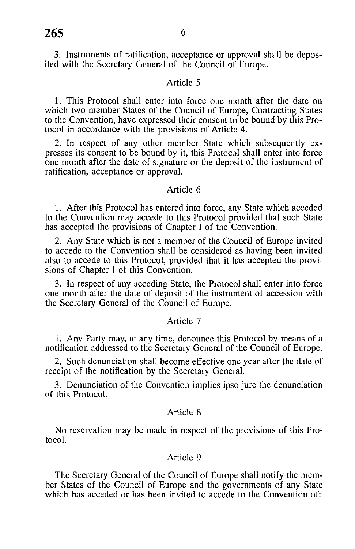3. Instruments of ratification, acceptance or approval shall be deposited with the Secretary General of the Council of Europe.

# Article 5

1. This Protocol shall enter into force one month after the date on which two member States of the Council of Europe, Contracting States to the Convention, have expressed their consent to be bound by this Protocol in accordance with the provisions of Article 4.

2. In respect of any other member State which subsequently expresses its consent to be bound by it, this Protocol shall enter into force one month after the date of signature or the deposit of the instrument of ratification, acceptance or approval.

#### Article 6

1. After this Protocol has entered into force, any State which acceded to the Convention may accede to this Protocol provided that such State has accepted the provisions of Chapter I of the Convention.

2. Any State which is not a member of the Council of Europe invited to accede to the Convention shall be considered as having been invited also to accede to this Protocol, provided that it has accepted the provisions of Chapter I of this Convention.

3. In respect of any acceding State, the Protocol shall enter into force one month after the date of deposit of the instrument of accession with the Secretary General of the Council of Europe.

#### Article 7

1. Any Party may, at any time, denounce this Protocol by means of a notification addressed to the Secretary General of the Council of Europe.

2. Such denunciation shall become effective one year after the date of receipt of the notification by the Secretary General.

3. Denunciation of the Convention implies ipso jure the denunciation of this Protocol.

## Article 8

No reservation may be made in respect of the provisions of this Protocol.

# Article 9

The Secretary General of the Council of Europe shall notify the member States of the Council of Europe and the governments of any State which has acceded or has been invited to accede to the Convention of: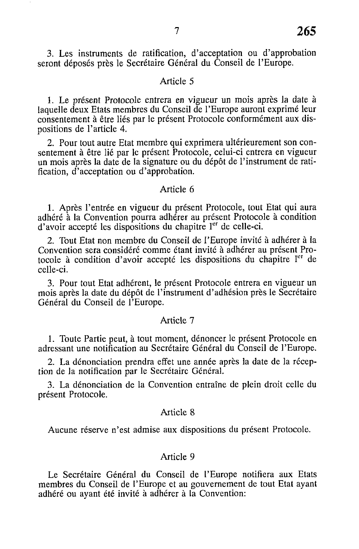3. Les instruments de ratification, d'acceptation ou d'approbation seront déposés près le Secrétaire Général du Conseil de l'Europe.

# Article 5

1. Le présent Protocole entrera en vigueur un mois après la date à laquelle deux Etats membres du Conseil de l'Europe auront exprimé leur consentement à être liés par le présent Protocole conformément aux dispositions de l'article 4.

2. Pour tout autre Etat membre qui exprimera ultérieurement son consentement à être lié par le présent Protocole, celui-ci entrera en vigueur un mois après la date de la signature ou du dépôt de l'instrument de ratification, d'acceptation ou d'approbation.

#### Article 6

1. Après l'entrée en vigueur du présent Protocole, tout Etat qui aura adhéré à la Convention pourra adhérer au présent Protocole à condition d'avoir accepté les dispositions du chapitre l<sup>er</sup> de celle-ci.

2. Tout Etat non membre du Conseil de l'Europe invité à adhérer à la Convention sera considéré comme étant invité à adhérer au présent Protocole à condition d'avoir accepté les dispositions du chapitre l<sup>er</sup> de celle-ci.

3. Pour tout Etat adhérent, le présent Protocole entrera en vigueur un mois après la date du dépôt de l'instrument d'adhésion près le Secrétaire Général du Conseil de l'Europe.

## Article 7

1. Toute Partie peut, à tout moment, dénoncer le présent Protocole en adressant une notification au Secrétaire Général du Conseil de l'Europe.

2. La dénonciation prendra effet une année après la date de la réception de la notification par le Secrétaire Général.

3. La dénonciation de la Convention entraîne de plein droit celle du présent Protocole.

#### Article 8

Aucune réserve n'est admise aux dispositions du présent Protocole.

#### Article 9

Le Secrétaire Général du Conseil de l'Europe notifiera aux Etats membres du Conseil de l'Europe et au gouvernement de tout Etat ayant adhéré ou ayant été invité à adhérer à la Convention: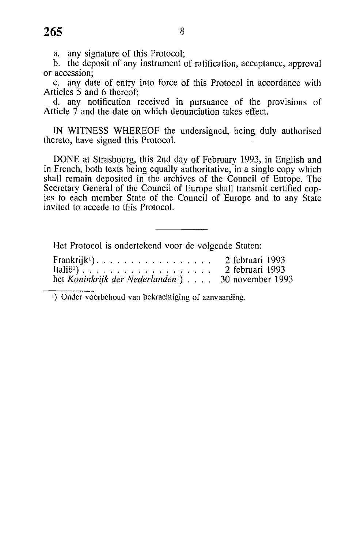a. any signature of this Protocol;

b. the deposit of any instrument of ratification, acceptance, approval or accession;

c. any date of entry into force of this Protocol in accordance with Articles 5 and 6 thereof;

d. any notification received in pursuance of the provisions of Article 7 and the date on which denunciation takes effect.

IN WITNESS WHEREOF the undersigned, being duly authorised thereto, have signed this Protocol.

DONE at Strasbourg, this 2nd day of February 1993, in English and in French, both texts being equally authoritative, in a single copy which shall remain deposited in the archives of the Council of Europe. The Secretary General of the Council of Europe shall transmit certified copies to each member State of the Council of Europe and to any State invited to accede to this Protocol.

Het Protocol is ondertekend voor de volgende Staten:

| Frankrijk <sup>1</sup> ). |  |  |  |  | 2 februari 1993                                                |
|---------------------------|--|--|--|--|----------------------------------------------------------------|
|                           |  |  |  |  | 2 februari 1993                                                |
|                           |  |  |  |  | het Koninkrijk der Nederlanden <sup>1</sup> ) 30 november 1993 |

') Onder voorbehoud van bekrachtiging of aanvaarding.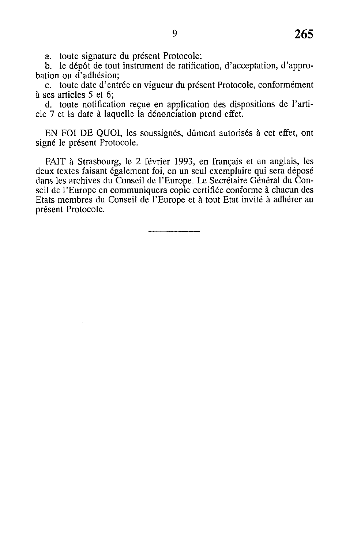a. toute signature du présent Protocole;

b. le dépôt de tout instrument de ratification, d'acceptation, d'approbation ou d'adhésion;

c. toute date d'entrée en vigueur du présent Protocole, conformément à ses articles 5 et 6;

d. toute notification reçue en application des dispositions de l'article 7 et la date à laquelle la dénonciation prend effet.

EN FOI DE QUOI, les soussignés, dûment autorisés à cet effet, ont signé le présent Protocole.

FAIT à Strasbourg, le 2 février 1993, en français et en anglais, les deux textes faisant également foi, en un seul exemplaire qui sera déposé dans les archives du Conseil de l'Europe. Le Secrétaire Général du Conseil de l'Europe en communiquera copie certifiée conforme à chacun des Etats membres du Conseil de l'Europe et à tout Etat invité à adhérer au présent Protocole.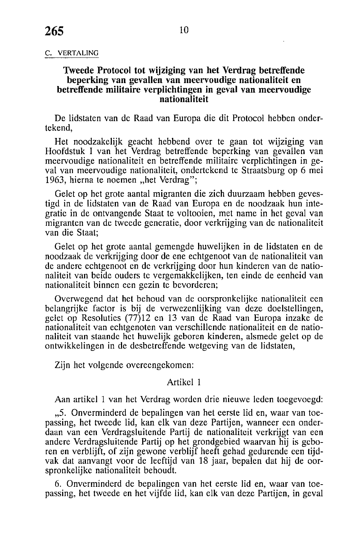#### C. VERTALING

## **Tweede Protocol tot wijziging van het Verdrag betreffende beperking van gevallen van meervoudige nationaliteit en betreffende militaire verplichtingen in geval van meervoudige nationaliteit**

De lidstaten van de Raad van Europa die dit Protocol hebben ondertekend,

Het noodzakelijk geacht hebbend over te gaan tot wijziging van Hoofdstuk I van het Verdrag betreffende beperking van gevallen van meervoudige nationaliteit en betreffende militaire verplichtingen in geval van meervoudige nationaliteit, ondertekend te Straatsburg op 6 mei 1963, hierna te noemen "het Verdrag";

Gelet op het grote aantal migranten die zich duurzaam hebben gevestigd in de lidstaten van de Raad van Europa en de noodzaak hun integratie in de ontvangende Staat te voltooien, met name in het geval van migranten van de tweede generatie, door verkrijging van de nationaliteit van die Staat;

Gelet op het grote aantal gemengde huwelijken in de lidstaten en de noodzaak de verkrijging door de ene echtgenoot van de nationaliteit van de andere echtgenoot en de verkrijging door hun kinderen van de nationaliteit van beide ouders te vergemakkelijken, ten einde de eenheid van nationaliteit binnen een gezin te bevorderen;

Overwegend dat het behoud van de oorspronkelijke nationaliteit een belangrijke factor is bij de verwezenlijking van deze doelstellingen, gelet op Resoluties (77)12 en 13 van de Raad van Europa inzake de nationaliteit van echtgenoten van verschillende nationaliteit en de nationaliteit van staande het huwelijk geboren kinderen, alsmede gelet op de ontwikkelingen in de desbetreffende wetgeving van de lidstaten,

Zijn het volgende overeengekomen:

## Artikel 1

Aan artikel 1 van het Verdrag worden drie nieuwe leden toegevoegd:

"5. Onverminderd de bepalingen van het eerste lid en, waar van toepassing, het tweede lid, kan elk van deze Partijen, wanneer een onderdaan van een Verdragsluitende Partij de nationaliteit verkrijgt van een andere Verdragsluitende Partij op het grondgebied waarvan hij is geboren en verblijft, of zijn gewone verblijf heeft gehad gedurende een tijdvak dat aanvangt voor de leeftijd van 18 jaar, bepalen dat hij de oorspronkelijke nationaliteit behoudt.

6. Onverminderd de bepalingen van het eerste lid en, waar van toepassing, het tweede en het vijfde lid, kan elk van deze Partijen, in geval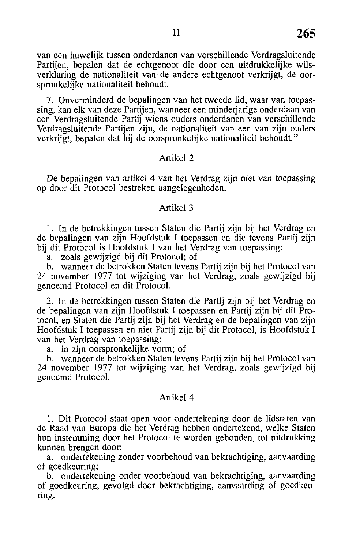van een huwelijk tussen onderdanen van verschillende Verdragsluitende Partijen, bepalen dat de echtgenoot die door een uitdrukkelijke wilsverklaring de nationaliteit van de andere echtgenoot verkrijgt, de oorspronkelijke nationaliteit behoudt.

7. Onverminderd de bepalingen van het tweede lid, waar van toepassing, kan elk van deze Partijen, wanneer een minderjarige onderdaan van een Verdragsluitende Partij wiens ouders onderdanen van verschillende Verdragsluitende Partijen zijn, de nationaliteit van een van zijn ouders verkrijgt, bepalen dat hij de oorspronkelijke nationaliteit behoudt."

#### Artikel 2

De bepalingen van artikel 4 van het Verdrag zijn niet van toepassing op door dit Protocol bestreken aangelegenheden.

#### Artikel 3

1. In de betrekkingen tussen Staten die Partij zijn bij het Verdrag en de bepalingen van zijn Hoofdstuk I toepassen en die tevens Partij zijn bij dit Protocol is Hoofdstuk I van het Verdrag van toepassing:

a. zoals gewijzigd bij dit Protocol; of

b. wanneer de betrokken Staten tevens Partij zijn bij het Protocol van 24 november 1977 tot wijziging van het Verdrag, zoals gewijzigd bij genoemd Protocol en dit Protocol.

2. In de betrekkingen tussen Staten die Partij zijn bij het Verdrag en de bepalingen van zijn Hoofdstuk I toepassen en Partij zijn bij dit Protocol, en Staten die Partij zijn bij het Verdrag en de bepalingen van zijn Hoofdstuk I toepassen en niet Partij zijn bij dit Protocol, is Hoofdstuk I van het Verdrag van toepassing:

a. in zijn oorspronkelijke vorm; of

b. wanneer de betrokken Staten tevens Partij zijn bij het Protocol van 24 november 1977 tot wijziging van het Verdrag, zoals gewijzigd bij genoemd Protocol.

#### Artikel 4

1. Dit Protocol staat open voor ondertekening door de lidstaten van de Raad van Europa die het Verdrag hebben ondertekend, welke Staten hun instemming door het Protocol te worden gebonden, tot uitdrukking kunnen brengen door:

a. ondertekening zonder voorbehoud van bekrachtiging, aanvaarding of goedkeuring;

b. ondertekening onder voorbehoud van bekrachtiging, aanvaarding of goedkeuring, gevolgd door bekrachtiging, aanvaarding of goedkeuring.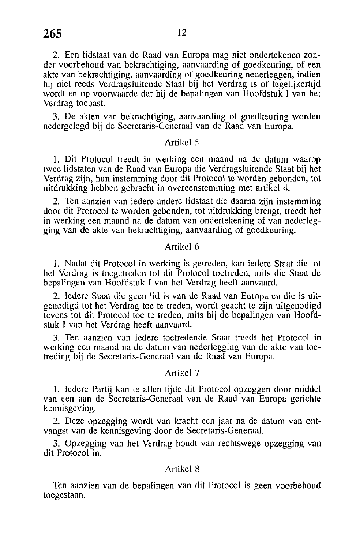2. Een lidstaat van de Raad van Europa mag niet ondertekenen zonder voorbehoud van bekrachtiging, aanvaarding of goedkeuring, of een akte van bekrachtiging, aanvaarding of goedkeuring nederleggen, indien hij niet reeds Verdragsluitende Staat bij het Verdrag is of tegelijkertijd wordt en op voorwaarde dat hij de bepalingen van Hoofdstuk I van het Verdrag toepast.

3. De akten van bekrachtiging, aanvaarding of goedkeuring worden nedergelegd bij de Secretaris-Generaal van de Raad van Europa.

#### Artikel 5

1. Dit Protocol treedt in werking een maand na de datum waarop twee lidstaten van de Raad van Europa die Verdragsluitende Staat bij het Verdrag zijn, hun instemming door dit Protocol te worden gebonden, tot uitdrukking hebben gebracht in overeenstemming met artikel 4.

2. Ten aanzien van iedere andere lidstaat die daarna zijn instemming door dit Protocol te worden gebonden, tot uitdrukking brengt, treedt het in werking een maand na de datum van ondertekening of van nederlegging van de akte van bekrachtiging, aanvaarding of goedkeuring.

## Artikel 6

1. Nadat dit Protocol in werking is getreden, kan iedere Staat die tot het Verdrag is toegetreden tot dit Protocol toetreden, mits die Staat de bepalingen van Hoofdstuk I van het Verdrag heeft aanvaard.

2. Iedere Staat die geen lid is van de Raad van Europa en die is uitgenodigd tot het Verdrag toe te treden, wordt geacht te zijn uitgenodigd tevens tot dit Protocol toe te treden, mits hij de bepalingen van Hoofdstuk I van het Verdrag heeft aanvaard.

3. Ten aanzien van iedere toetredende Staat treedt het Protocol in werking een maand na de datum van nederlegging van de akte van toetreding bij de Secretaris-Generaal van de Raad van Europa.

#### Artikel 7

1. Iedere Partij kan te allen tijde dit Protocol opzeggen door middel van een aan de Secretaris-Generaal van de Raad van Europa gerichte kennisgeving.

2. Deze opzegging wordt van kracht een jaar na de datum van ontvangst van de kennisgeving door de Secretaris-Generaal.

3. Opzegging van het Verdrag houdt van rechtswege opzegging van dit Protocol in.

#### Artikel 8

Ten aanzien van de bepalingen van dit Protocol is geen voorbehoud toegestaan.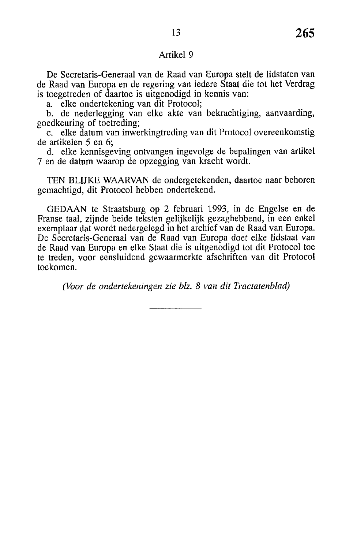# Artikel 9

De Secretaris-Generaal van de Raad van Europa stelt de lidstaten van de Raad van Europa en de regering van iedere Staat die tot het Verdrag is toegetreden of daartoe is uitgenodigd in kennis van:

a. elke ondertekening van dit Protocol;

b. de nederlegging van elke akte van bekrachtiging, aanvaarding, goedkeuring of toetreding;

c. elke datum van inwerkingtreding van dit Protocol overeenkomstig de artikelen 5 en 6;

d. elke kennisgeving ontvangen ingevolge de bepalingen van artikel 7 en de datum waarop de opzegging van kracht wordt.

TEN BLIJKE WAARVAN de ondergetekenden, daartoe naar behoren gemachtigd, dit Protocol hebben ondertekend.

GEDAAN te Straatsburg op 2 februari 1993, in de Engelse en de Franse taal, zijnde beide teksten gelijkelijk gezaghebbend, in een enkel exemplaar dat wordt nedergelegd in het archief van de Raad van Europa. De Secretaris-Generaal van de Raad van Europa doet elke lidstaat van de Raad van Europa en elke Staat die is uitgenodigd tot dit Protocol toe te treden, voor eensluidend gewaarmerkte afschriften van dit Protocol toekomen.

*(Voor de ondertekeningen zie bh. 8 van dit Tractatenblad)*